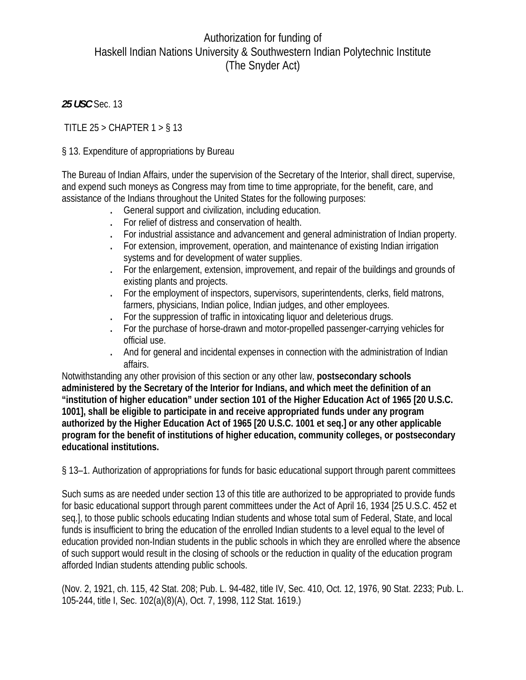# Authorization for funding of Haskell Indian Nations University & Southwestern Indian Polytechnic Institute (The Snyder Act)

*25 USC* Sec. 13

TITLE  $25 >$  CHAPTER  $1 > \frac{6}{3}$  13

## § 13. Expenditure of appropriations by Bureau

The Bureau of Indian Affairs, under the supervision of the Secretary of the Interior, shall direct, supervise, and expend such moneys as Congress may from time to time appropriate, for the benefit, care, and assistance of the Indians throughout the United States for the following purposes:

- . General support and civilization, including education.
- . For relief of distress and conservation of health.
- . For industrial assistance and advancement and general administration of Indian property.
- . For extension, improvement, operation, and maintenance of existing Indian irrigation systems and for development of water supplies.
- . For the enlargement, extension, improvement, and repair of the buildings and grounds of existing plants and projects.
- . For the employment of inspectors, supervisors, superintendents, clerks, field matrons, farmers, physicians, Indian police, Indian judges, and other employees.
- . For the suppression of traffic in intoxicating liquor and deleterious drugs.
- . For the purchase of horse-drawn and motor-propelled passenger-carrying vehicles for official use.
- . And for general and incidental expenses in connection with the administration of Indian affairs.

Notwithstanding any other provision of this section or any other law, **postsecondary schools administered by the Secretary of the Interior for Indians, and which meet the definition of an "institution of higher education" under section 101 of the Higher Education Act of 1965 [20 U.S.C. 1001], shall be eligible to participate in and receive appropriated funds under any program authorized by the Higher Education Act of 1965 [20 U.S.C. 1001 et seq.] or any other applicable program for the benefit of institutions of higher education, community colleges, or postsecondary educational institutions.** 

§ 13–1. Authorization of appropriations for funds for basic educational support through parent committees

Such sums as are needed under section 13 of this title are authorized to be appropriated to provide funds for basic educational support through parent committees under the Act of April 16, 1934 [25 U.S.C. 452 et seq.], to those public schools educating Indian students and whose total sum of Federal, State, and local funds is insufficient to bring the education of the enrolled Indian students to a level equal to the level of education provided non-Indian students in the public schools in which they are enrolled where the absence of such support would result in the closing of schools or the reduction in quality of the education program afforded Indian students attending public schools.

(Nov. 2, 1921, ch. 115, 42 Stat. 208; Pub. L. 94-482, title IV, Sec. 410, Oct. 12, 1976, 90 Stat. 2233; Pub. L. 105-244, title I, Sec. 102(a)(8)(A), Oct. 7, 1998, 112 Stat. 1619.)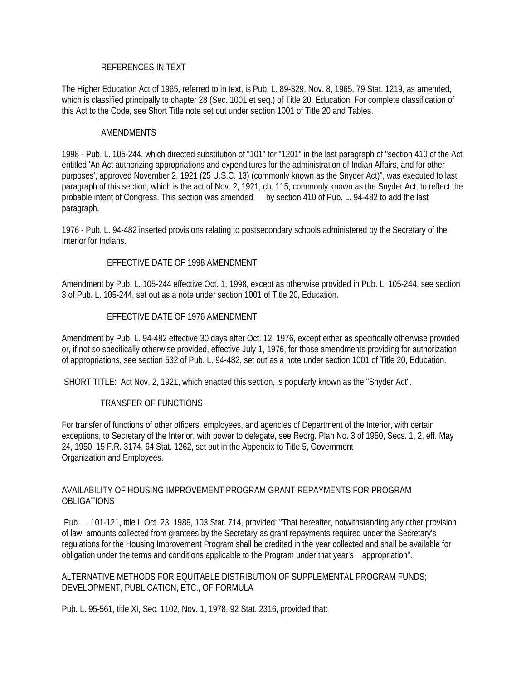#### REFERENCES IN TEXT

The Higher Education Act of 1965, referred to in text, is Pub. L. 89-329, Nov. 8, 1965, 79 Stat. 1219, as amended, which is classified principally to chapter 28 (Sec. 1001 et seq.) of Title 20, Education. For complete classification of this Act to the Code, see Short Title note set out under section 1001 of Title 20 and Tables.

#### AMENDMENTS

1998 - Pub. L. 105-244, which directed substitution of "101" for "1201" in the last paragraph of "section 410 of the Act entitled 'An Act authorizing appropriations and expenditures for the administration of Indian Affairs, and for other purposes', approved November 2, 1921 (25 U.S.C. 13) (commonly known as the Snyder Act)", was executed to last paragraph of this section, which is the act of Nov. 2, 1921, ch. 115, commonly known as the Snyder Act, to reflect the probable intent of Congress. This section was amended by section 410 of Pub. L. 94-482 to add the last paragraph.

1976 - Pub. L. 94-482 inserted provisions relating to postsecondary schools administered by the Secretary of the Interior for Indians.

#### EFFECTIVE DATE OF 1998 AMENDMENT

Amendment by Pub. L. 105-244 effective Oct. 1, 1998, except as otherwise provided in Pub. L. 105-244, see section 3 of Pub. L. 105-244, set out as a note under section 1001 of Title 20, Education.

#### EFFECTIVE DATE OF 1976 AMENDMENT

Amendment by Pub. L. 94-482 effective 30 days after Oct. 12, 1976, except either as specifically otherwise provided or, if not so specifically otherwise provided, effective July 1, 1976, for those amendments providing for authorization of appropriations, see section 532 of Pub. L. 94-482, set out as a note under section 1001 of Title 20, Education.

SHORT TITLE: Act Nov. 2, 1921, which enacted this section, is popularly known as the "Snyder Act".

#### TRANSFER OF FUNCTIONS

For transfer of functions of other officers, employees, and agencies of Department of the Interior, with certain exceptions, to Secretary of the Interior, with power to delegate, see Reorg. Plan No. 3 of 1950, Secs. 1, 2, eff. May 24, 1950, 15 F.R. 3174, 64 Stat. 1262, set out in the Appendix to Title 5, Government Organization and Employees.

#### AVAILABILITY OF HOUSING IMPROVEMENT PROGRAM GRANT REPAYMENTS FOR PROGRAM OBLIGATIONS

 Pub. L. 101-121, title I, Oct. 23, 1989, 103 Stat. 714, provided: "That hereafter, notwithstanding any other provision of law, amounts collected from grantees by the Secretary as grant repayments required under the Secretary's regulations for the Housing Improvement Program shall be credited in the year collected and shall be available for obligation under the terms and conditions applicable to the Program under that year's appropriation".

### ALTERNATIVE METHODS FOR EQUITABLE DISTRIBUTION OF SUPPLEMENTAL PROGRAM FUNDS; DEVELOPMENT, PUBLICATION, ETC., OF FORMULA

Pub. L. 95-561, title XI, Sec. 1102, Nov. 1, 1978, 92 Stat. 2316, provided that: